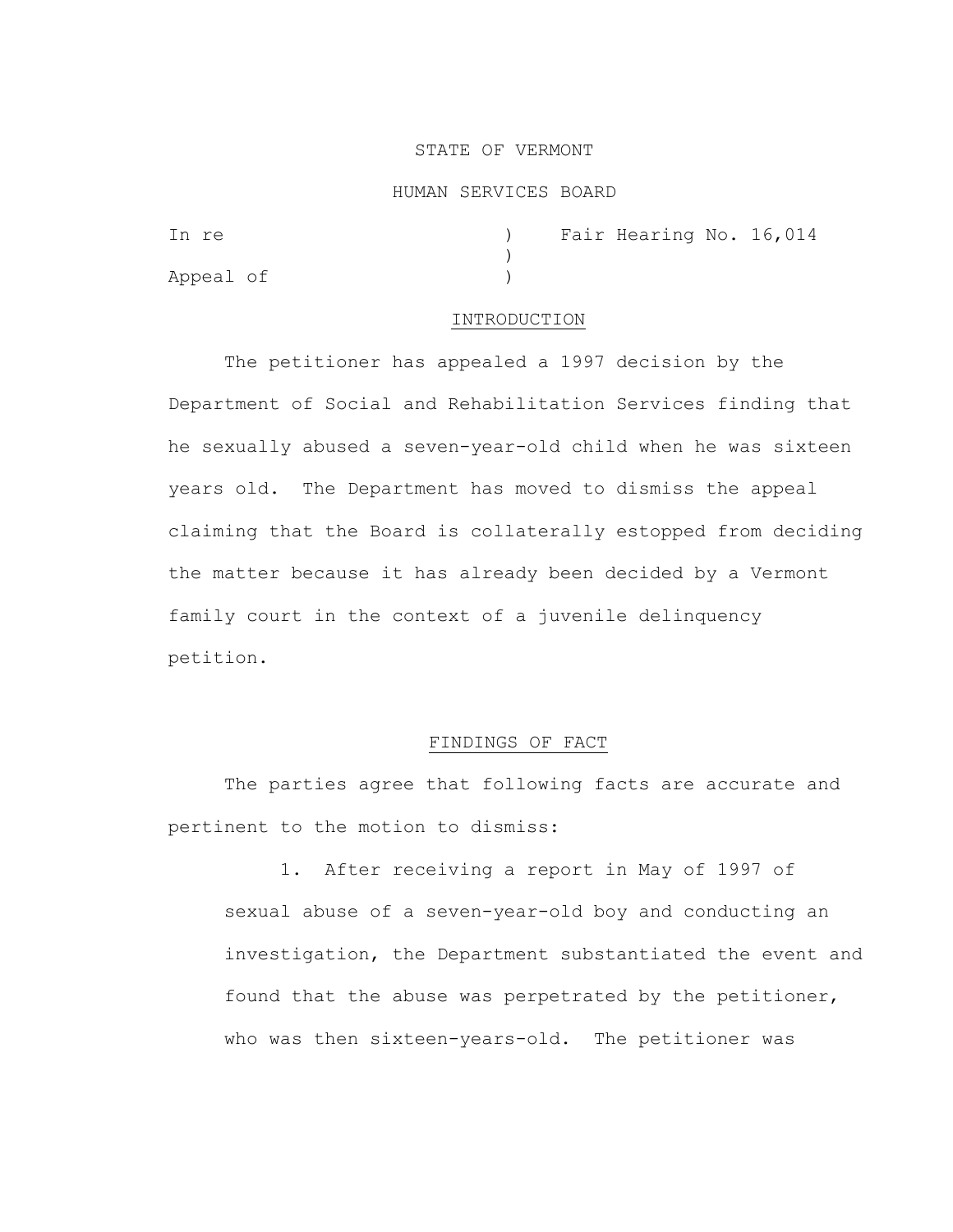## STATE OF VERMONT

#### HUMAN SERVICES BOARD

| In re     |  | Fair Hearing No. 16,014 |  |
|-----------|--|-------------------------|--|
|           |  |                         |  |
| Appeal of |  |                         |  |

## INTRODUCTION

The petitioner has appealed a 1997 decision by the Department of Social and Rehabilitation Services finding that he sexually abused a seven-year-old child when he was sixteen years old. The Department has moved to dismiss the appeal claiming that the Board is collaterally estopped from deciding the matter because it has already been decided by a Vermont family court in the context of a juvenile delinquency petition.

## FINDINGS OF FACT

The parties agree that following facts are accurate and pertinent to the motion to dismiss:

1. After receiving a report in May of 1997 of sexual abuse of a seven-year-old boy and conducting an investigation, the Department substantiated the event and found that the abuse was perpetrated by the petitioner, who was then sixteen-years-old. The petitioner was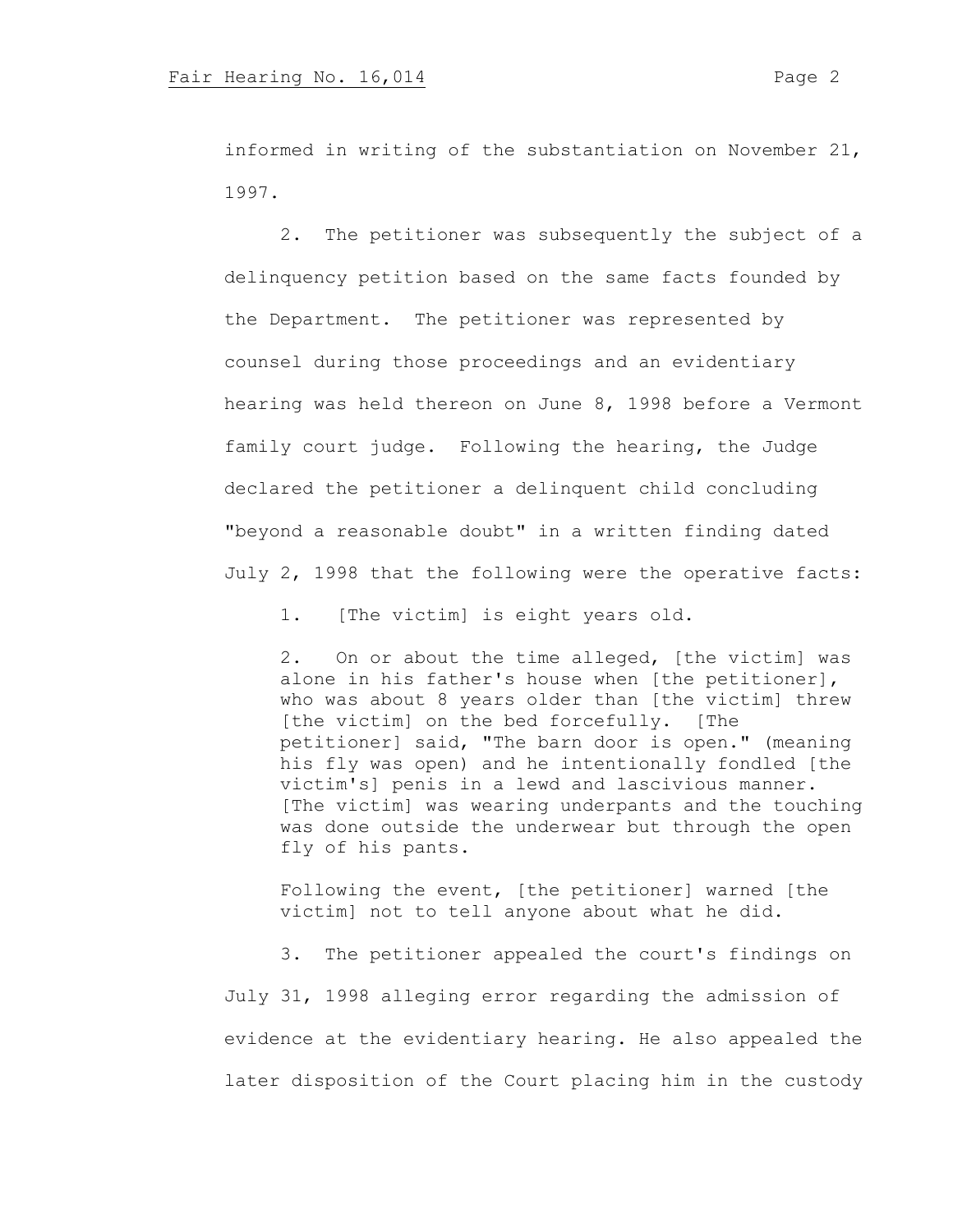informed in writing of the substantiation on November 21, 1997.

2. The petitioner was subsequently the subject of a delinquency petition based on the same facts founded by the Department. The petitioner was represented by counsel during those proceedings and an evidentiary hearing was held thereon on June 8, 1998 before a Vermont family court judge. Following the hearing, the Judge declared the petitioner a delinquent child concluding "beyond a reasonable doubt" in a written finding dated July 2, 1998 that the following were the operative facts:

1. [The victim] is eight years old.

2. On or about the time alleged, [the victim] was alone in his father's house when [the petitioner], who was about 8 years older than [the victim] threw [the victim] on the bed forcefully. [The petitioner] said, "The barn door is open." (meaning his fly was open) and he intentionally fondled [the victim's] penis in a lewd and lascivious manner. [The victim] was wearing underpants and the touching was done outside the underwear but through the open fly of his pants.

Following the event, [the petitioner] warned [the victim] not to tell anyone about what he did.

3. The petitioner appealed the court's findings on July 31, 1998 alleging error regarding the admission of evidence at the evidentiary hearing. He also appealed the later disposition of the Court placing him in the custody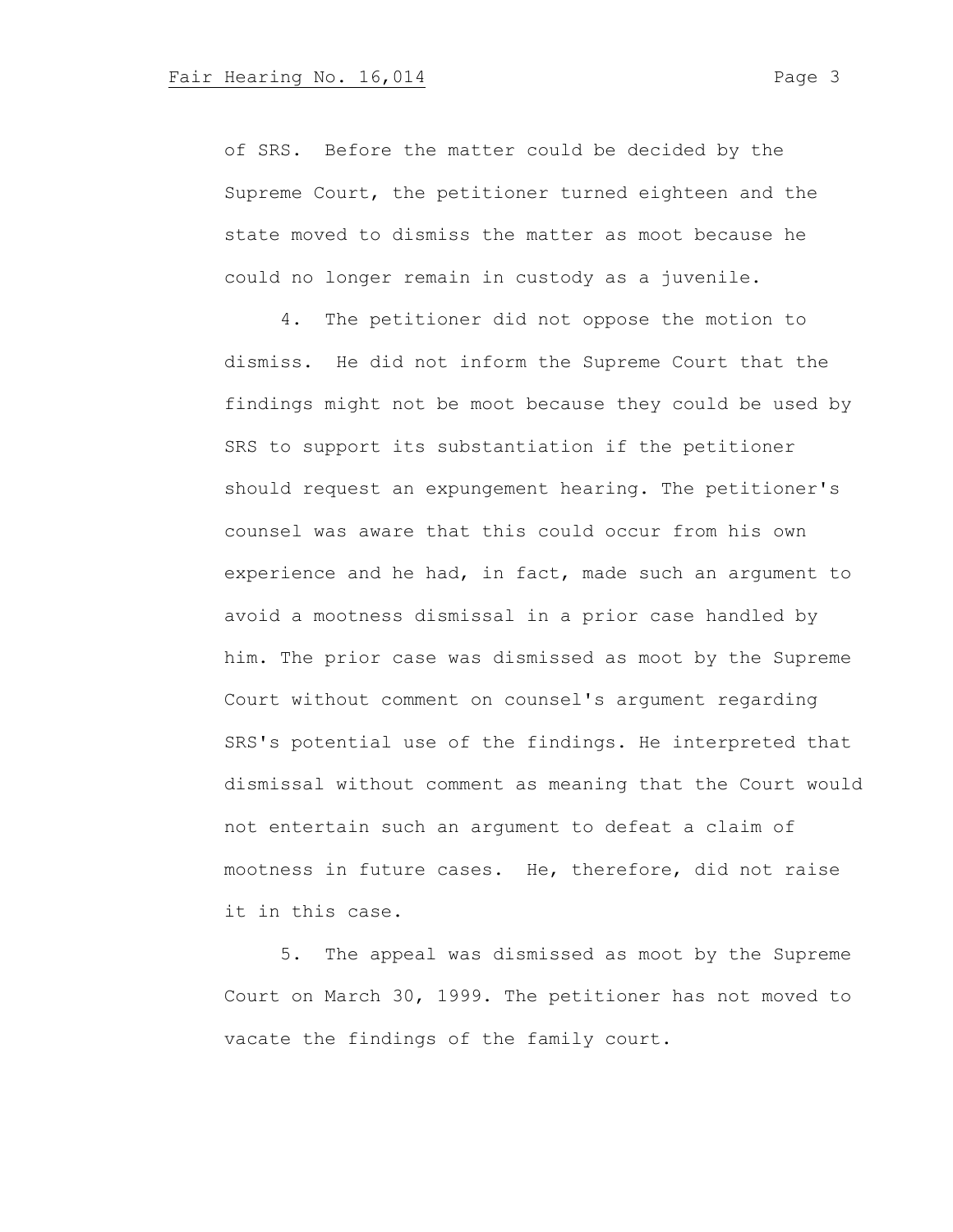of SRS. Before the matter could be decided by the Supreme Court, the petitioner turned eighteen and the state moved to dismiss the matter as moot because he could no longer remain in custody as a juvenile.

4. The petitioner did not oppose the motion to dismiss. He did not inform the Supreme Court that the findings might not be moot because they could be used by SRS to support its substantiation if the petitioner should request an expungement hearing. The petitioner's counsel was aware that this could occur from his own experience and he had, in fact, made such an argument to avoid a mootness dismissal in a prior case handled by him. The prior case was dismissed as moot by the Supreme Court without comment on counsel's argument regarding SRS's potential use of the findings. He interpreted that dismissal without comment as meaning that the Court would not entertain such an argument to defeat a claim of mootness in future cases. He, therefore, did not raise it in this case.

5. The appeal was dismissed as moot by the Supreme Court on March 30, 1999. The petitioner has not moved to vacate the findings of the family court.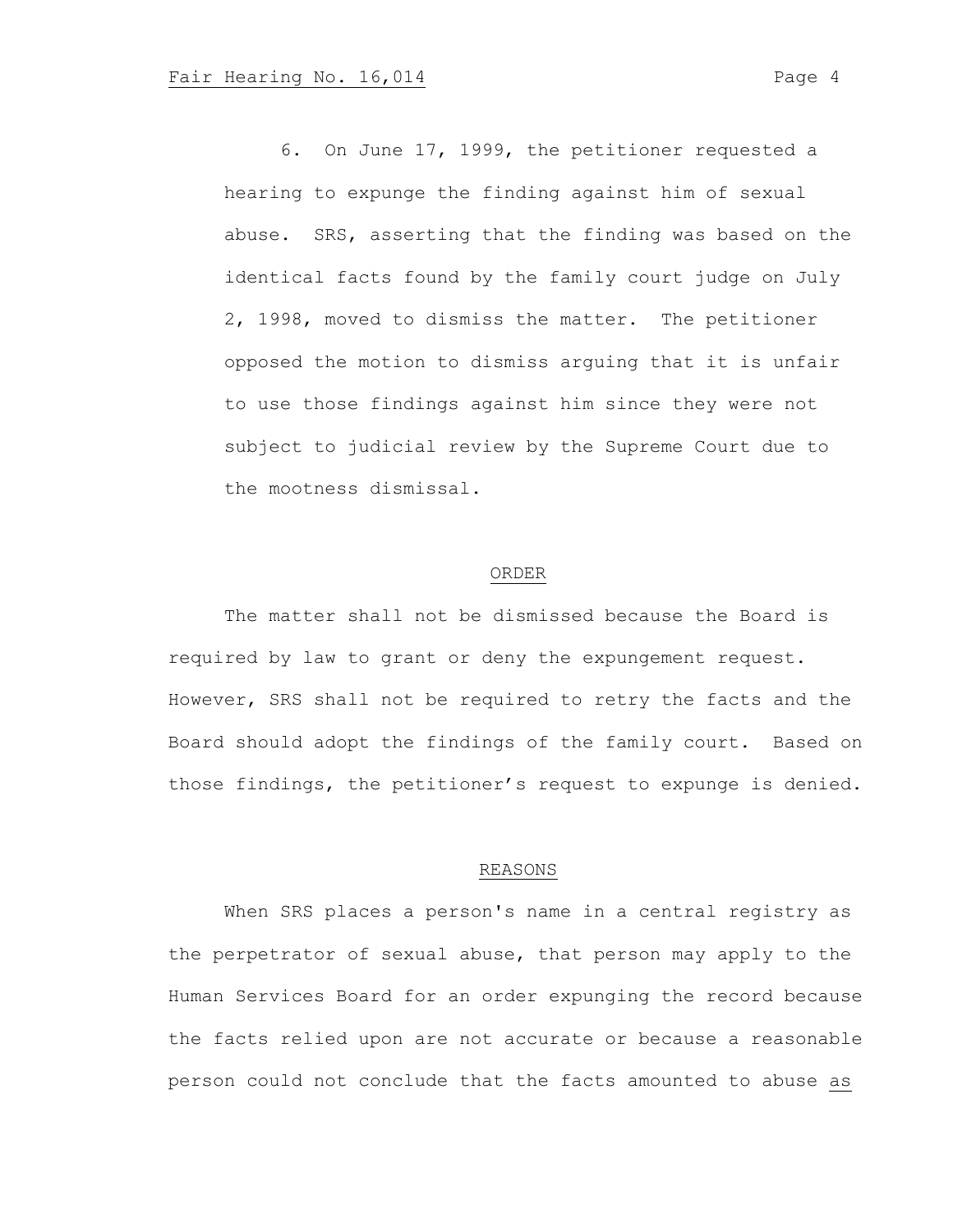6. On June 17, 1999, the petitioner requested a hearing to expunge the finding against him of sexual abuse. SRS, asserting that the finding was based on the identical facts found by the family court judge on July 2, 1998, moved to dismiss the matter. The petitioner opposed the motion to dismiss arguing that it is unfair to use those findings against him since they were not subject to judicial review by the Supreme Court due to the mootness dismissal.

### ORDER

The matter shall not be dismissed because the Board is required by law to grant or deny the expungement request. However, SRS shall not be required to retry the facts and the Board should adopt the findings of the family court. Based on those findings, the petitioner's request to expunge is denied.

#### REASONS

When SRS places a person's name in a central registry as the perpetrator of sexual abuse, that person may apply to the Human Services Board for an order expunging the record because the facts relied upon are not accurate or because a reasonable person could not conclude that the facts amounted to abuse as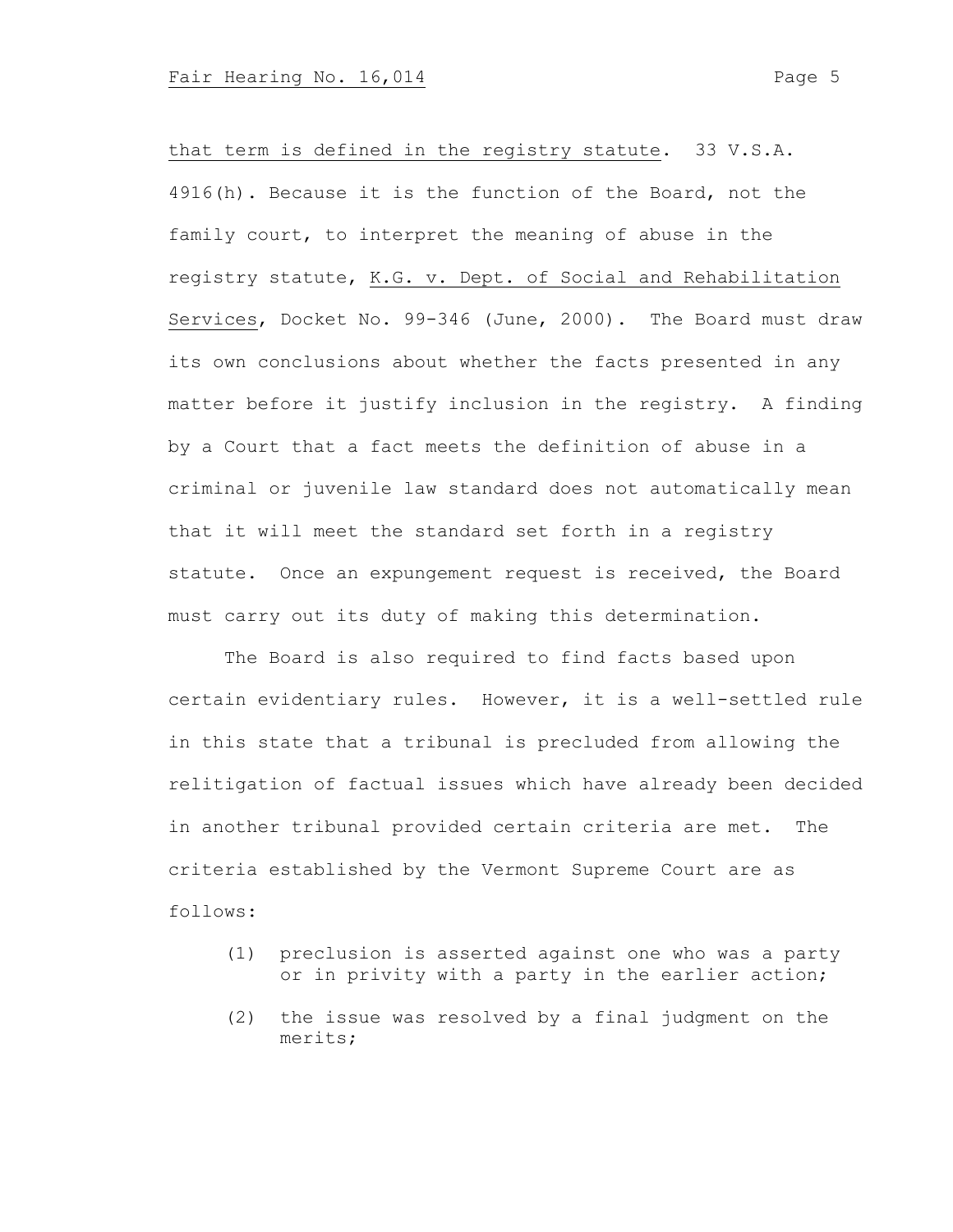that term is defined in the registry statute. 33 V.S.A. 4916(h). Because it is the function of the Board, not the family court, to interpret the meaning of abuse in the registry statute, K.G. v. Dept. of Social and Rehabilitation Services, Docket No. 99-346 (June, 2000). The Board must draw its own conclusions about whether the facts presented in any matter before it justify inclusion in the registry. A finding by a Court that a fact meets the definition of abuse in a criminal or juvenile law standard does not automatically mean that it will meet the standard set forth in a registry statute. Once an expungement request is received, the Board must carry out its duty of making this determination.

The Board is also required to find facts based upon certain evidentiary rules. However, it is a well-settled rule in this state that a tribunal is precluded from allowing the relitigation of factual issues which have already been decided in another tribunal provided certain criteria are met. The criteria established by the Vermont Supreme Court are as follows:

- (1) preclusion is asserted against one who was a party or in privity with a party in the earlier action;
- (2) the issue was resolved by a final judgment on the merits;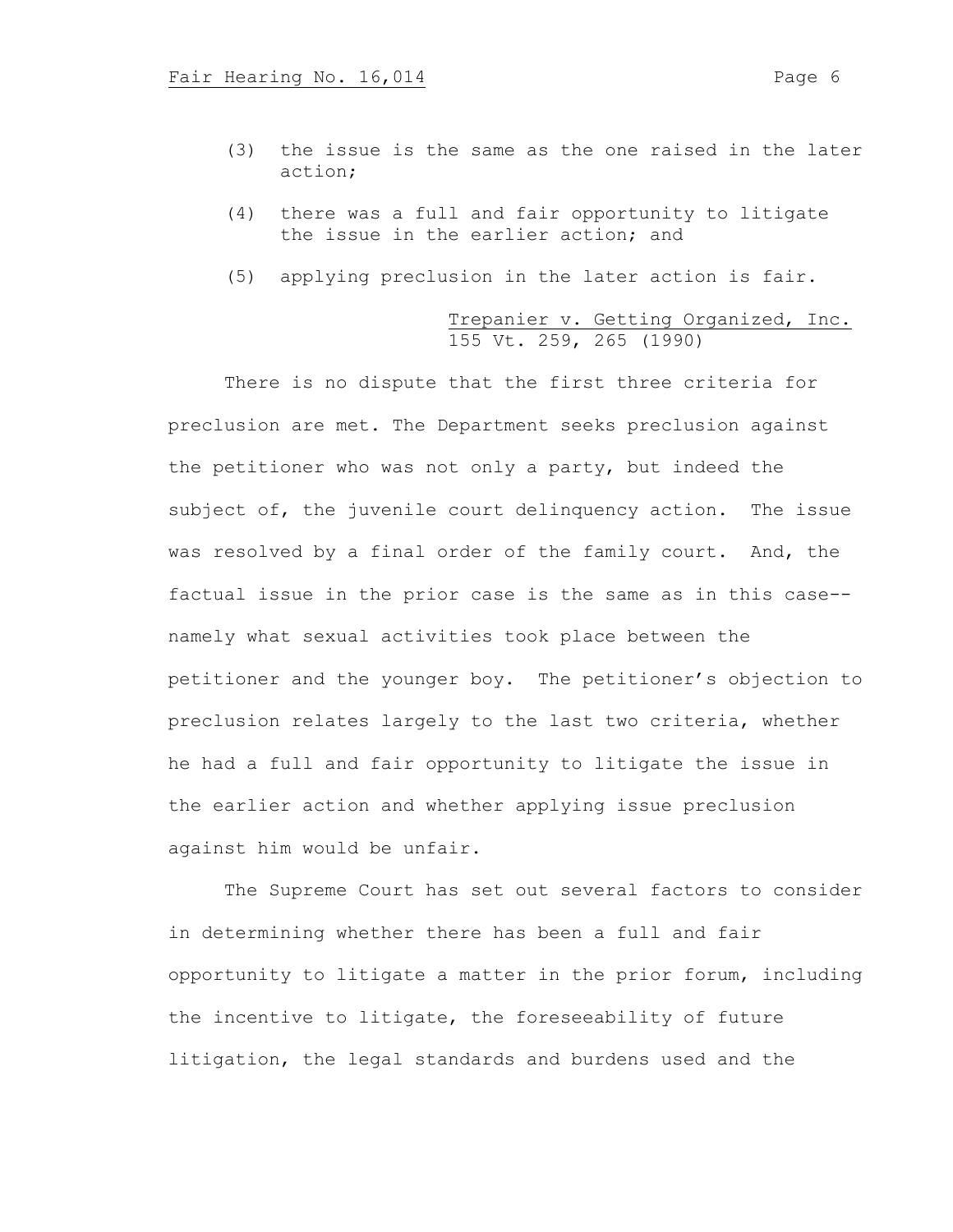- (3) the issue is the same as the one raised in the later action;
- (4) there was a full and fair opportunity to litigate the issue in the earlier action; and
- (5) applying preclusion in the later action is fair.

# Trepanier v. Getting Organized, Inc. 155 Vt. 259, 265 (1990)

There is no dispute that the first three criteria for preclusion are met. The Department seeks preclusion against the petitioner who was not only a party, but indeed the subject of, the juvenile court delinquency action. The issue was resolved by a final order of the family court. And, the factual issue in the prior case is the same as in this case- namely what sexual activities took place between the petitioner and the younger boy. The petitioner's objection to preclusion relates largely to the last two criteria, whether he had a full and fair opportunity to litigate the issue in the earlier action and whether applying issue preclusion against him would be unfair.

The Supreme Court has set out several factors to consider in determining whether there has been a full and fair opportunity to litigate a matter in the prior forum, including the incentive to litigate, the foreseeability of future litigation, the legal standards and burdens used and the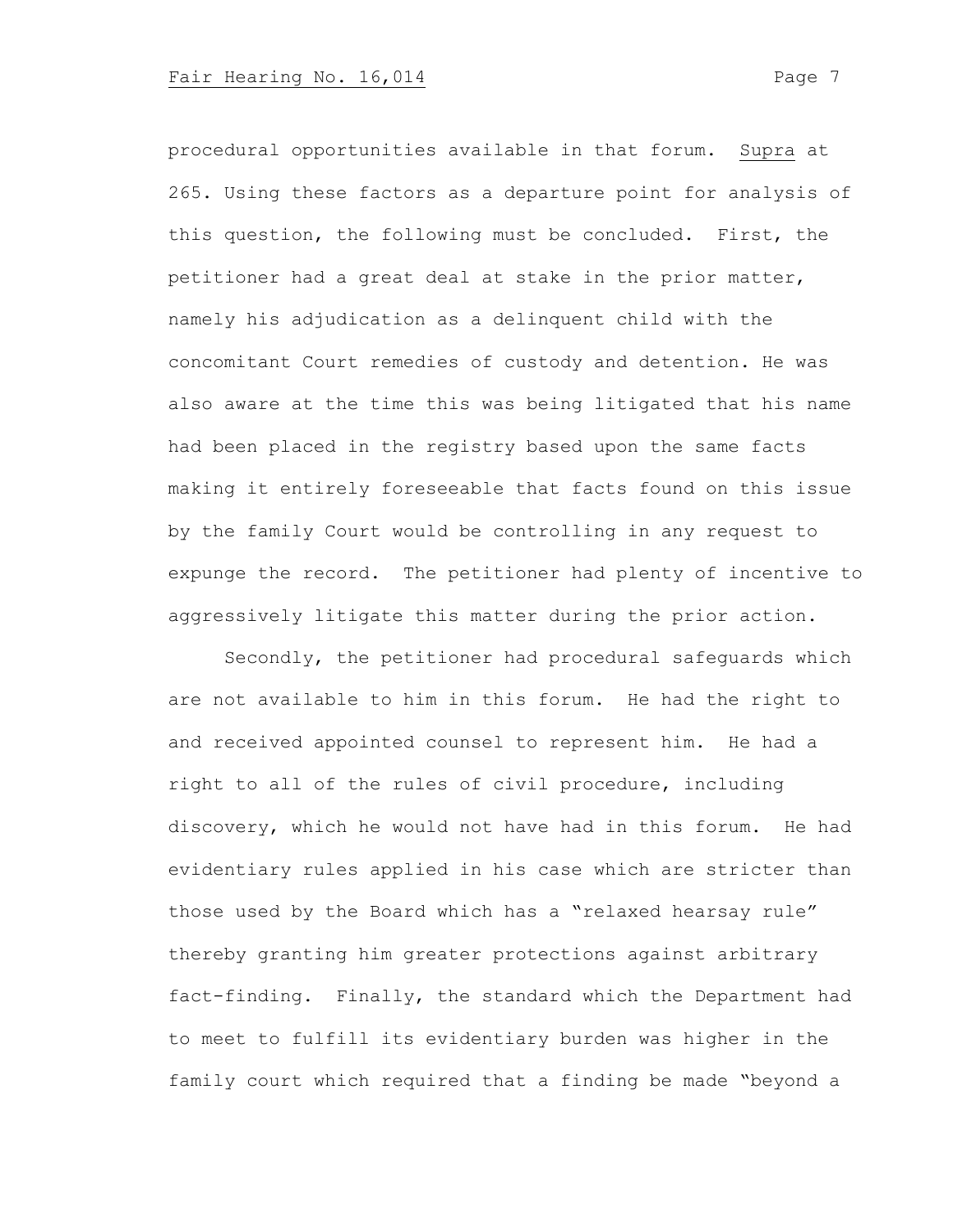procedural opportunities available in that forum. Supra at 265. Using these factors as a departure point for analysis of this question, the following must be concluded. First, the petitioner had a great deal at stake in the prior matter, namely his adjudication as a delinquent child with the concomitant Court remedies of custody and detention. He was also aware at the time this was being litigated that his name had been placed in the registry based upon the same facts making it entirely foreseeable that facts found on this issue by the family Court would be controlling in any request to expunge the record. The petitioner had plenty of incentive to aggressively litigate this matter during the prior action.

Secondly, the petitioner had procedural safeguards which are not available to him in this forum. He had the right to and received appointed counsel to represent him. He had a right to all of the rules of civil procedure, including discovery, which he would not have had in this forum. He had evidentiary rules applied in his case which are stricter than those used by the Board which has a "relaxed hearsay rule" thereby granting him greater protections against arbitrary fact-finding. Finally, the standard which the Department had to meet to fulfill its evidentiary burden was higher in the family court which required that a finding be made "beyond a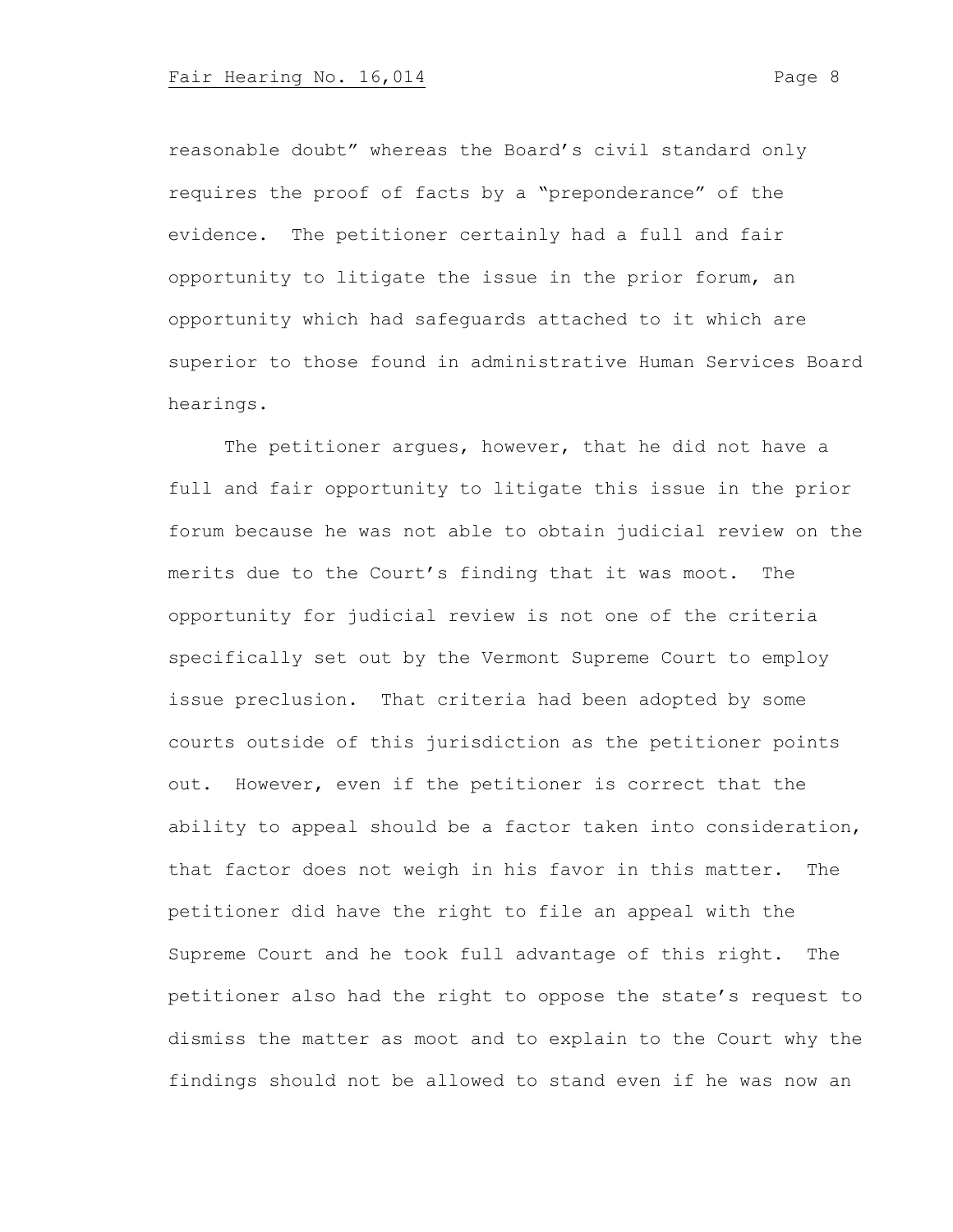reasonable doubt" whereas the Board's civil standard only requires the proof of facts by a "preponderance" of the evidence. The petitioner certainly had a full and fair opportunity to litigate the issue in the prior forum, an opportunity which had safeguards attached to it which are superior to those found in administrative Human Services Board hearings.

The petitioner argues, however, that he did not have a full and fair opportunity to litigate this issue in the prior forum because he was not able to obtain judicial review on the merits due to the Court's finding that it was moot. The opportunity for judicial review is not one of the criteria specifically set out by the Vermont Supreme Court to employ issue preclusion. That criteria had been adopted by some courts outside of this jurisdiction as the petitioner points out. However, even if the petitioner is correct that the ability to appeal should be a factor taken into consideration, that factor does not weigh in his favor in this matter. The petitioner did have the right to file an appeal with the Supreme Court and he took full advantage of this right. The petitioner also had the right to oppose the state's request to dismiss the matter as moot and to explain to the Court why the findings should not be allowed to stand even if he was now an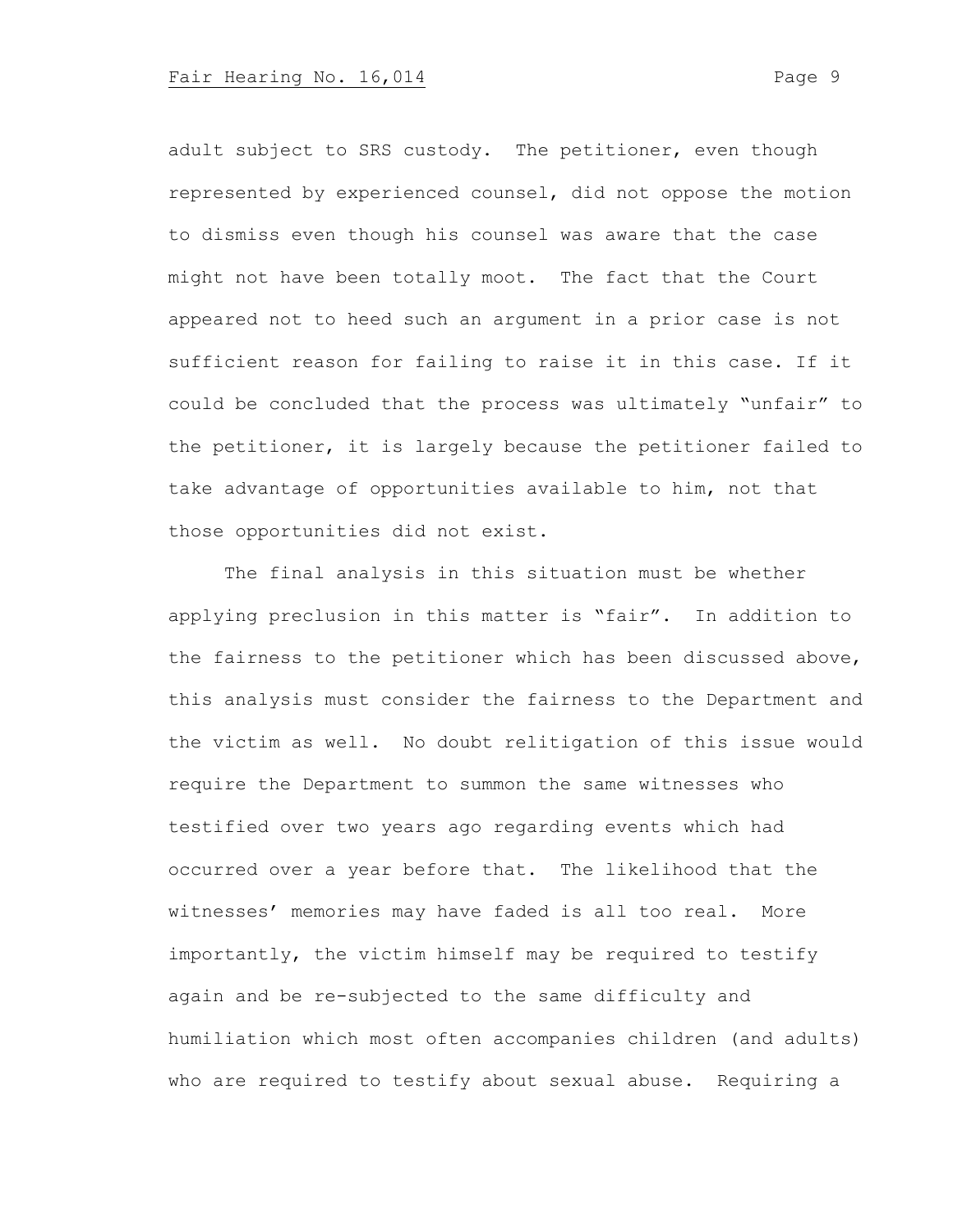adult subject to SRS custody. The petitioner, even though represented by experienced counsel, did not oppose the motion to dismiss even though his counsel was aware that the case might not have been totally moot. The fact that the Court appeared not to heed such an argument in a prior case is not sufficient reason for failing to raise it in this case. If it could be concluded that the process was ultimately "unfair" to the petitioner, it is largely because the petitioner failed to take advantage of opportunities available to him, not that those opportunities did not exist.

The final analysis in this situation must be whether applying preclusion in this matter is "fair". In addition to the fairness to the petitioner which has been discussed above, this analysis must consider the fairness to the Department and the victim as well. No doubt relitigation of this issue would require the Department to summon the same witnesses who testified over two years ago regarding events which had occurred over a year before that. The likelihood that the witnesses' memories may have faded is all too real. More importantly, the victim himself may be required to testify again and be re-subjected to the same difficulty and humiliation which most often accompanies children (and adults) who are required to testify about sexual abuse. Requiring a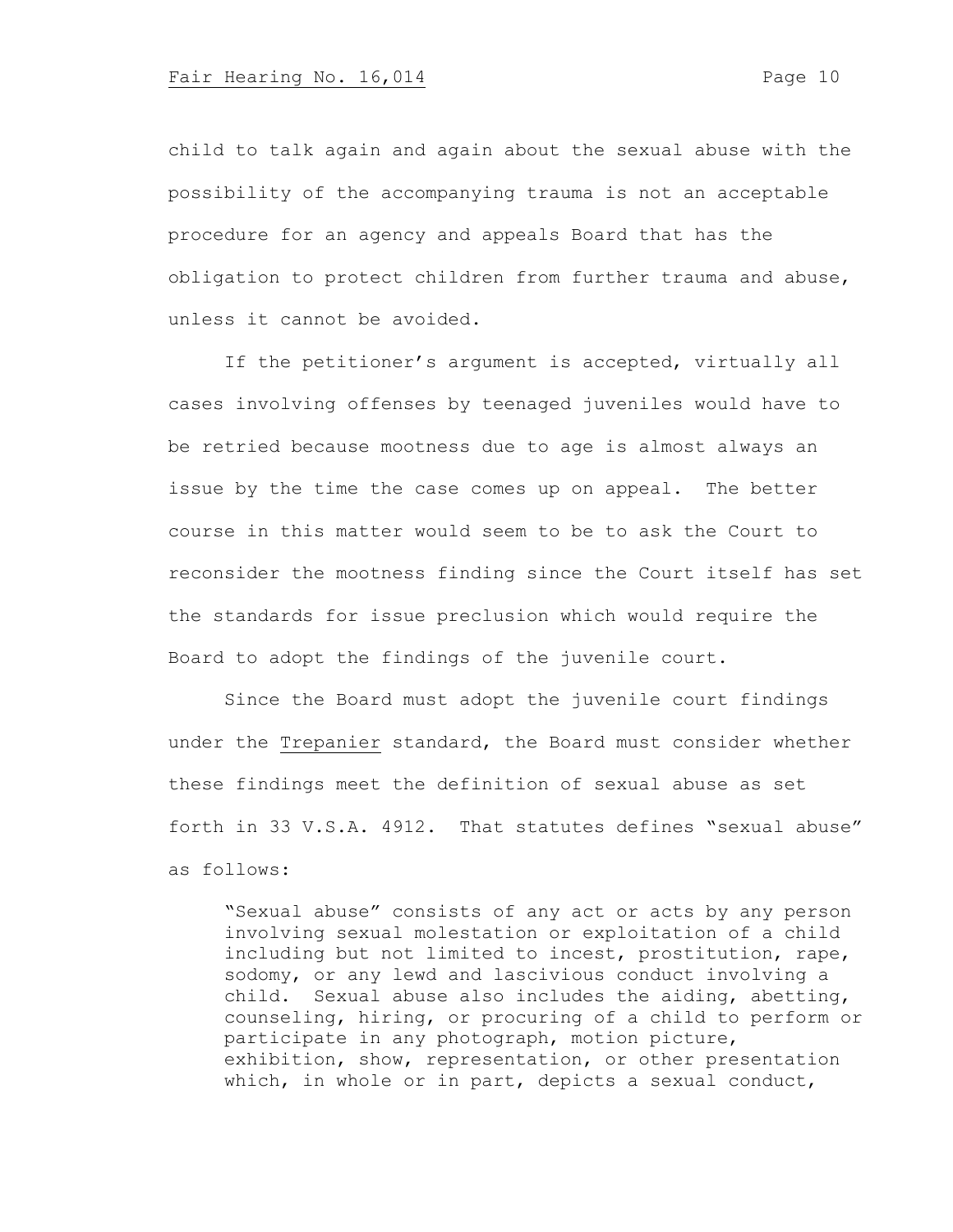child to talk again and again about the sexual abuse with the possibility of the accompanying trauma is not an acceptable procedure for an agency and appeals Board that has the obligation to protect children from further trauma and abuse, unless it cannot be avoided.

If the petitioner's argument is accepted, virtually all cases involving offenses by teenaged juveniles would have to be retried because mootness due to age is almost always an issue by the time the case comes up on appeal. The better course in this matter would seem to be to ask the Court to reconsider the mootness finding since the Court itself has set the standards for issue preclusion which would require the Board to adopt the findings of the juvenile court.

Since the Board must adopt the juvenile court findings under the Trepanier standard, the Board must consider whether these findings meet the definition of sexual abuse as set forth in 33 V.S.A. 4912. That statutes defines "sexual abuse" as follows:

"Sexual abuse" consists of any act or acts by any person involving sexual molestation or exploitation of a child including but not limited to incest, prostitution, rape, sodomy, or any lewd and lascivious conduct involving a child. Sexual abuse also includes the aiding, abetting, counseling, hiring, or procuring of a child to perform or participate in any photograph, motion picture, exhibition, show, representation, or other presentation which, in whole or in part, depicts a sexual conduct,